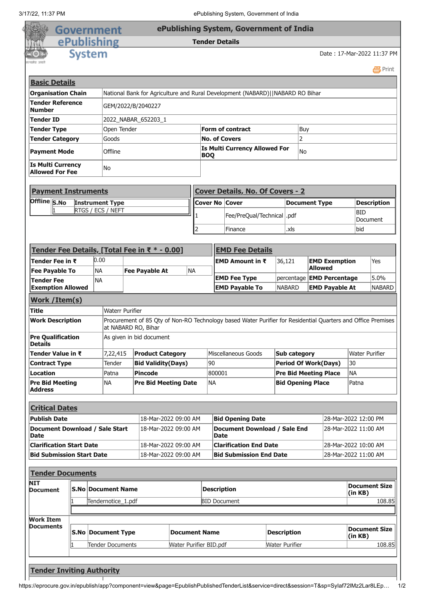|                                                                                                                                                                                                                                                                                                                                                                                                                                                                                                                     |                        | <b>Government</b>                             |             |                             |                                                                               |                                                           |                       | ePublishing System, Government of India                                                                      |                                             |     |                |                                                           |                                 |                            |
|---------------------------------------------------------------------------------------------------------------------------------------------------------------------------------------------------------------------------------------------------------------------------------------------------------------------------------------------------------------------------------------------------------------------------------------------------------------------------------------------------------------------|------------------------|-----------------------------------------------|-------------|-----------------------------|-------------------------------------------------------------------------------|-----------------------------------------------------------|-----------------------|--------------------------------------------------------------------------------------------------------------|---------------------------------------------|-----|----------------|-----------------------------------------------------------|---------------------------------|----------------------------|
|                                                                                                                                                                                                                                                                                                                                                                                                                                                                                                                     |                        | ePublishing                                   |             |                             |                                                                               |                                                           |                       | <b>Tender Details</b>                                                                                        |                                             |     |                |                                                           |                                 |                            |
|                                                                                                                                                                                                                                                                                                                                                                                                                                                                                                                     | <b>System</b>          |                                               |             |                             |                                                                               |                                                           |                       |                                                                                                              |                                             |     |                |                                                           | Date: 17-Mar-2022 11:37 PM      |                            |
|                                                                                                                                                                                                                                                                                                                                                                                                                                                                                                                     |                        |                                               |             |                             |                                                                               |                                                           |                       |                                                                                                              |                                             |     |                |                                                           |                                 | 昌Print                     |
| <b>Basic Details</b>                                                                                                                                                                                                                                                                                                                                                                                                                                                                                                |                        |                                               |             |                             |                                                                               |                                                           |                       |                                                                                                              |                                             |     |                |                                                           |                                 |                            |
| <b>Organisation Chain</b>                                                                                                                                                                                                                                                                                                                                                                                                                                                                                           |                        |                                               |             |                             | National Bank for Agriculture and Rural Development (NABARD)  NABARD RO Bihar |                                                           |                       |                                                                                                              |                                             |     |                |                                                           |                                 |                            |
| <b>Tender Reference</b><br>GEM/2022/B/2040227<br><b>Number</b>                                                                                                                                                                                                                                                                                                                                                                                                                                                      |                        |                                               |             |                             |                                                                               |                                                           |                       |                                                                                                              |                                             |     |                |                                                           |                                 |                            |
| Tender ID                                                                                                                                                                                                                                                                                                                                                                                                                                                                                                           |                        |                                               |             | 2022 NABAR 652203_1         |                                                                               |                                                           |                       |                                                                                                              |                                             |     |                |                                                           |                                 |                            |
| <b>Tender Type</b>                                                                                                                                                                                                                                                                                                                                                                                                                                                                                                  |                        |                                               | Open Tender |                             |                                                                               |                                                           |                       | <b>Form of contract</b>                                                                                      |                                             | Buy |                |                                                           |                                 |                            |
| <b>Tender Category</b>                                                                                                                                                                                                                                                                                                                                                                                                                                                                                              | Goods                  |                                               |             |                             | $\overline{2}$<br><b>No. of Covers</b>                                        |                                                           |                       |                                                                                                              |                                             |     |                |                                                           |                                 |                            |
| Offline<br><b>Payment Mode</b>                                                                                                                                                                                                                                                                                                                                                                                                                                                                                      |                        |                                               |             |                             |                                                                               | <b>Is Multi Currency Allowed For</b><br>lNo<br><b>BOQ</b> |                       |                                                                                                              |                                             |     |                |                                                           |                                 |                            |
| <b>Is Multi Currency</b><br><b>Allowed For Fee</b>                                                                                                                                                                                                                                                                                                                                                                                                                                                                  |                        | No                                            |             |                             |                                                                               |                                                           |                       |                                                                                                              |                                             |     |                |                                                           |                                 |                            |
| <b>Payment Instruments</b>                                                                                                                                                                                                                                                                                                                                                                                                                                                                                          |                        |                                               |             |                             |                                                                               |                                                           |                       | <b>Cover Details, No. Of Covers - 2</b>                                                                      |                                             |     |                |                                                           |                                 |                            |
| Offline S.No                                                                                                                                                                                                                                                                                                                                                                                                                                                                                                        | <b>Instrument Type</b> |                                               |             |                             |                                                                               |                                                           | <b>Cover No Cover</b> |                                                                                                              | <b>Document Type</b>                        |     |                |                                                           | <b>Description</b>              |                            |
|                                                                                                                                                                                                                                                                                                                                                                                                                                                                                                                     | RTGS / ECS / NEFT      |                                               |             |                             |                                                                               |                                                           |                       |                                                                                                              |                                             |     |                | BID                                                       |                                 |                            |
|                                                                                                                                                                                                                                                                                                                                                                                                                                                                                                                     |                        |                                               |             |                             |                                                                               |                                                           |                       | Fee/PreQual/Technical   .pdf                                                                                 |                                             |     |                |                                                           |                                 | Document                   |
|                                                                                                                                                                                                                                                                                                                                                                                                                                                                                                                     |                        |                                               |             |                             |                                                                               | $\overline{2}$                                            |                       | Finance                                                                                                      | .xls                                        |     |                |                                                           | bid                             |                            |
| Tender Fee Details, [Total Fee in ₹ * - 0.00]                                                                                                                                                                                                                                                                                                                                                                                                                                                                       |                        |                                               |             |                             |                                                                               |                                                           |                       | <b>EMD Fee Details</b>                                                                                       |                                             |     |                |                                                           |                                 |                            |
| Tender Fee in ₹                                                                                                                                                                                                                                                                                                                                                                                                                                                                                                     |                        | 0.00                                          |             |                             |                                                                               |                                                           |                       | EMD Amount in $\bar{x}$                                                                                      | 36,121                                      |     |                | <b>EMD Exemption</b>                                      |                                 | Yes                        |
|                                                                                                                                                                                                                                                                                                                                                                                                                                                                                                                     |                        |                                               |             |                             |                                                                               |                                                           |                       |                                                                                                              |                                             |     |                |                                                           |                                 |                            |
|                                                                                                                                                                                                                                                                                                                                                                                                                                                                                                                     |                        | <b>NA</b>                                     |             | <b>Fee Payable At</b>       | <b>NA</b>                                                                     |                                                           |                       |                                                                                                              |                                             |     | <b>Allowed</b> |                                                           |                                 |                            |
|                                                                                                                                                                                                                                                                                                                                                                                                                                                                                                                     |                        | NA                                            |             |                             |                                                                               |                                                           |                       | <b>EMD Fee Type</b><br><b>EMD Payable To</b>                                                                 | <b>NABARD</b>                               |     |                | percentage <b>EMD Percentage</b><br><b>EMD Payable At</b> |                                 | 5.0%                       |
|                                                                                                                                                                                                                                                                                                                                                                                                                                                                                                                     |                        |                                               |             |                             |                                                                               |                                                           |                       |                                                                                                              |                                             |     |                |                                                           |                                 |                            |
|                                                                                                                                                                                                                                                                                                                                                                                                                                                                                                                     |                        | <b>Waterr Purifier</b>                        |             |                             |                                                                               |                                                           |                       |                                                                                                              |                                             |     |                |                                                           |                                 |                            |
|                                                                                                                                                                                                                                                                                                                                                                                                                                                                                                                     |                        |                                               |             | at NABARD RO, Bihar         |                                                                               |                                                           |                       | Procurement of 85 Qty of Non-RO Technology based Water Purifier for Residential Quarters and Office Premises |                                             |     |                |                                                           |                                 |                            |
|                                                                                                                                                                                                                                                                                                                                                                                                                                                                                                                     |                        |                                               |             | As given in bid document    |                                                                               |                                                           |                       |                                                                                                              |                                             |     |                |                                                           |                                 |                            |
|                                                                                                                                                                                                                                                                                                                                                                                                                                                                                                                     |                        | 7,22,415                                      |             | <b>Product Category</b>     |                                                                               |                                                           |                       | Miscellaneous Goods                                                                                          | Sub category                                |     |                |                                                           | <b>Water Purifier</b>           |                            |
|                                                                                                                                                                                                                                                                                                                                                                                                                                                                                                                     |                        | Tender                                        |             | <b>Bid Validity(Days)</b>   |                                                                               |                                                           | 90                    |                                                                                                              | <b>Period Of Work(Days)</b>                 |     |                |                                                           | 30                              |                            |
|                                                                                                                                                                                                                                                                                                                                                                                                                                                                                                                     |                        | Patna                                         |             | <b>Pincode</b>              |                                                                               |                                                           | 800001                |                                                                                                              | <b>Pre Bid Meeting Place</b>                |     |                |                                                           | <b>NA</b>                       |                            |
|                                                                                                                                                                                                                                                                                                                                                                                                                                                                                                                     |                        | <b>NA</b>                                     |             | <b>Pre Bid Meeting Date</b> |                                                                               |                                                           | <b>NA</b>             |                                                                                                              | <b>Bid Opening Place</b>                    |     |                |                                                           | Patna                           |                            |
|                                                                                                                                                                                                                                                                                                                                                                                                                                                                                                                     |                        |                                               |             |                             |                                                                               |                                                           |                       |                                                                                                              |                                             |     |                |                                                           |                                 |                            |
|                                                                                                                                                                                                                                                                                                                                                                                                                                                                                                                     |                        |                                               |             | 18-Mar-2022 09:00 AM        |                                                                               |                                                           |                       |                                                                                                              |                                             |     |                |                                                           | 28-Mar-2022 12:00 PM            |                            |
|                                                                                                                                                                                                                                                                                                                                                                                                                                                                                                                     |                        |                                               |             | 18-Mar-2022 09:00 AM        |                                                                               |                                                           |                       | <b>Bid Opening Date</b><br><b>Document Download / Sale End</b>                                               |                                             |     |                |                                                           | 28-Mar-2022 11:00 AM            |                            |
|                                                                                                                                                                                                                                                                                                                                                                                                                                                                                                                     |                        |                                               |             | 18-Mar-2022 09:00 AM        |                                                                               |                                                           | <b>Date</b>           | <b>Clarification End Date</b>                                                                                |                                             |     |                |                                                           | 28-Mar-2022 10:00 AM            |                            |
|                                                                                                                                                                                                                                                                                                                                                                                                                                                                                                                     |                        |                                               |             | 18-Mar-2022 09:00 AM        |                                                                               |                                                           |                       | <b>Bid Submission End Date</b>                                                                               |                                             |     |                |                                                           | 28-Mar-2022 11:00 AM            |                            |
|                                                                                                                                                                                                                                                                                                                                                                                                                                                                                                                     |                        |                                               |             |                             |                                                                               |                                                           |                       |                                                                                                              |                                             |     |                |                                                           |                                 |                            |
|                                                                                                                                                                                                                                                                                                                                                                                                                                                                                                                     |                        |                                               |             |                             |                                                                               |                                                           |                       |                                                                                                              |                                             |     |                |                                                           |                                 |                            |
|                                                                                                                                                                                                                                                                                                                                                                                                                                                                                                                     |                        | <b>S.No Document Name</b>                     |             |                             |                                                                               |                                                           | <b>Description</b>    |                                                                                                              |                                             |     |                |                                                           | <b>Document Size</b><br>(in KB) |                            |
| <b>Fee Payable To</b><br><b>Tender Fee</b><br><b>Exemption Allowed</b><br>Work / Item(s)<br>Title<br><b>Work Description</b><br><b>Pre Qualification</b><br><b>Details</b><br>Tender Value in ₹<br><b>Contract Type</b><br><b>Location</b><br><b>Pre Bid Meeting</b><br><b>Address</b><br><b>Critical Dates</b><br><b>Publish Date</b><br><b>Document Download / Sale Start</b><br><b>Date</b><br><b>Clarification Start Date</b><br><b>Bid Submission Start Date</b><br><b>Tender Documents</b><br>NIT<br>Document |                        | Tendernotice_1.pdf                            |             |                             |                                                                               |                                                           |                       | <b>BID Document</b>                                                                                          |                                             |     |                |                                                           |                                 |                            |
| <b>Work Item</b>                                                                                                                                                                                                                                                                                                                                                                                                                                                                                                    |                        |                                               |             |                             |                                                                               |                                                           |                       |                                                                                                              |                                             |     |                |                                                           |                                 |                            |
| <b>Documents</b>                                                                                                                                                                                                                                                                                                                                                                                                                                                                                                    |                        | <b>S.No Document Type</b><br>Tender Documents |             |                             | <b>Document Name</b><br>Water Purifier BID.pdf                                |                                                           |                       |                                                                                                              | <b>Description</b><br><b>Water Purifier</b> |     |                |                                                           | <b>Document Size</b><br>(in KB) | NABARD<br>108.85<br>108.85 |